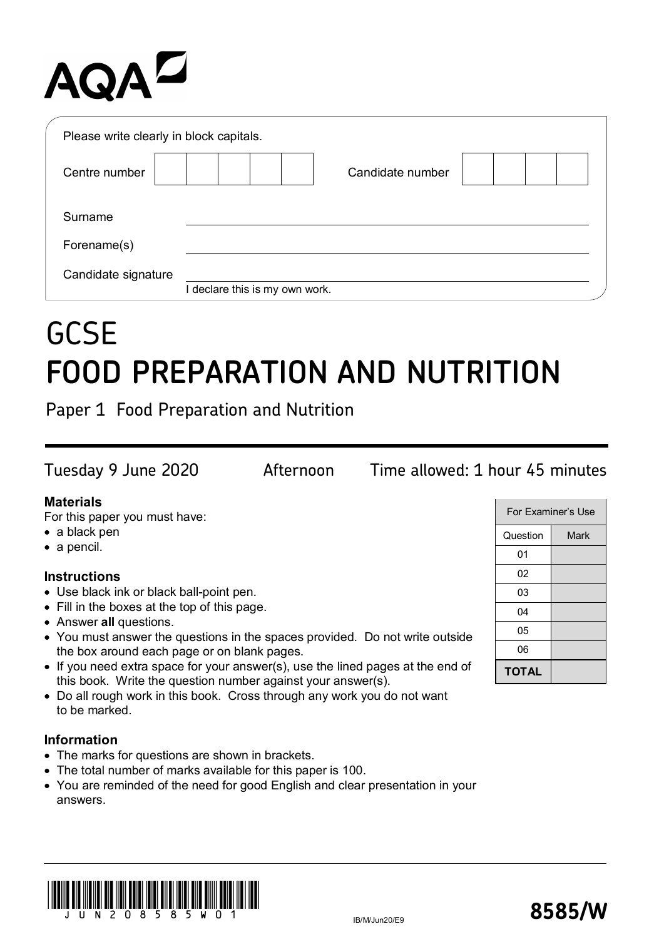# AQAZ

| Please write clearly in block capitals. |                                |
|-----------------------------------------|--------------------------------|
| Centre number                           | Candidate number               |
| Surname                                 |                                |
| Forename(s)                             |                                |
| Candidate signature                     | I declare this is my own work. |

## GCSE **FOOD PREPARATION AND NUTRITION**

Paper 1 Food Preparation and Nutrition

Tuesday 9 June 2020 Afternoon Time allowed: 1 hour 45 minutes

### **Materials**

For this paper you must have:

- a black pen
- a pencil.

#### **Instructions**

- Use black ink or black ball-point pen.
- Fill in the boxes at the top of this page.
- Answer **all** questions.
- You must answer the questions in the spaces provided. Do not write outside the box around each page or on blank pages.
- If you need extra space for your answer(s), use the lined pages at the end of this book. Write the question number against your answer(s).
- Do all rough work in this book. Cross through any work you do not want to be marked.

### **Information**

- The marks for questions are shown in brackets.
- The total number of marks available for this paper is 100.
- You are reminded of the need for good English and clear presentation in your answers.





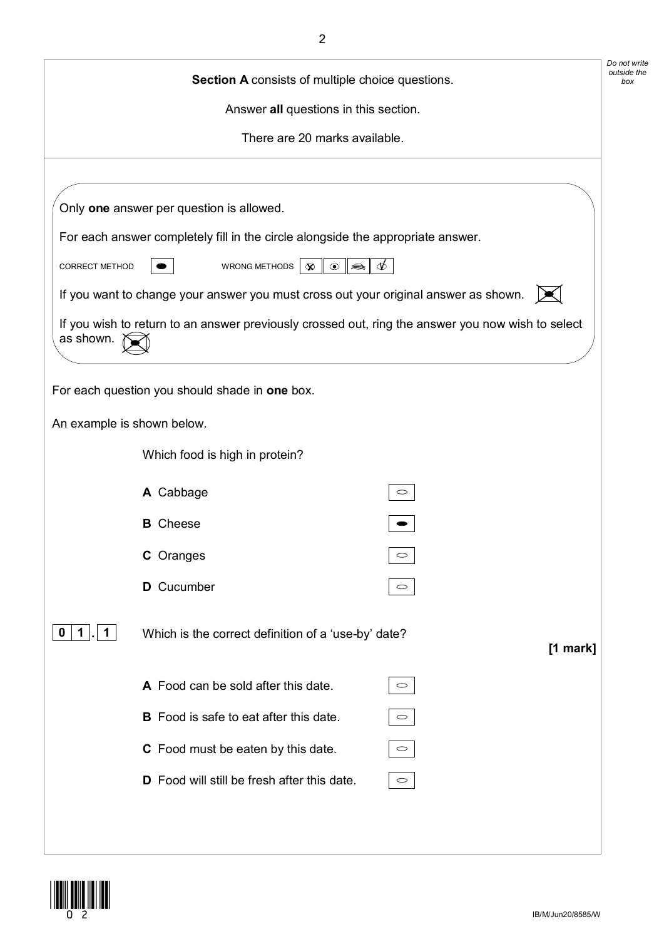|                                           | Section A consists of multiple choice questions.                                                  |                     |          |
|-------------------------------------------|---------------------------------------------------------------------------------------------------|---------------------|----------|
|                                           | Answer all questions in this section.                                                             |                     |          |
|                                           | There are 20 marks available.                                                                     |                     |          |
|                                           |                                                                                                   |                     |          |
|                                           | Only one answer per question is allowed.                                                          |                     |          |
|                                           | For each answer completely fill in the circle alongside the appropriate answer.                   |                     |          |
| <b>CORRECT METHOD</b>                     | <b>WRONG METHODS</b><br>$\circledcirc$<br>$\Rightarrow$<br>$\infty$                               |                     |          |
|                                           | If you want to change your answer you must cross out your original answer as shown.               |                     |          |
| as shown.                                 | If you wish to return to an answer previously crossed out, ring the answer you now wish to select |                     |          |
|                                           | For each question you should shade in one box.                                                    |                     |          |
|                                           |                                                                                                   |                     |          |
|                                           | An example is shown below.                                                                        |                     |          |
|                                           | Which food is high in protein?                                                                    |                     |          |
|                                           | A Cabbage                                                                                         | $\circ$             |          |
|                                           | <b>B</b> Cheese                                                                                   |                     |          |
|                                           | C Oranges                                                                                         | $\circ$             |          |
|                                           | D Cucumber                                                                                        | $\circ$             |          |
| $\mathbf 1$<br>$\mathbf 1$<br>$\mathbf 0$ | Which is the correct definition of a 'use-by' date?                                               |                     | [1 mark] |
|                                           | A Food can be sold after this date.                                                               | $\circlearrowright$ |          |
|                                           | <b>B</b> Food is safe to eat after this date.                                                     | $\circlearrowright$ |          |
|                                           | C Food must be eaten by this date.                                                                | $\circ$             |          |

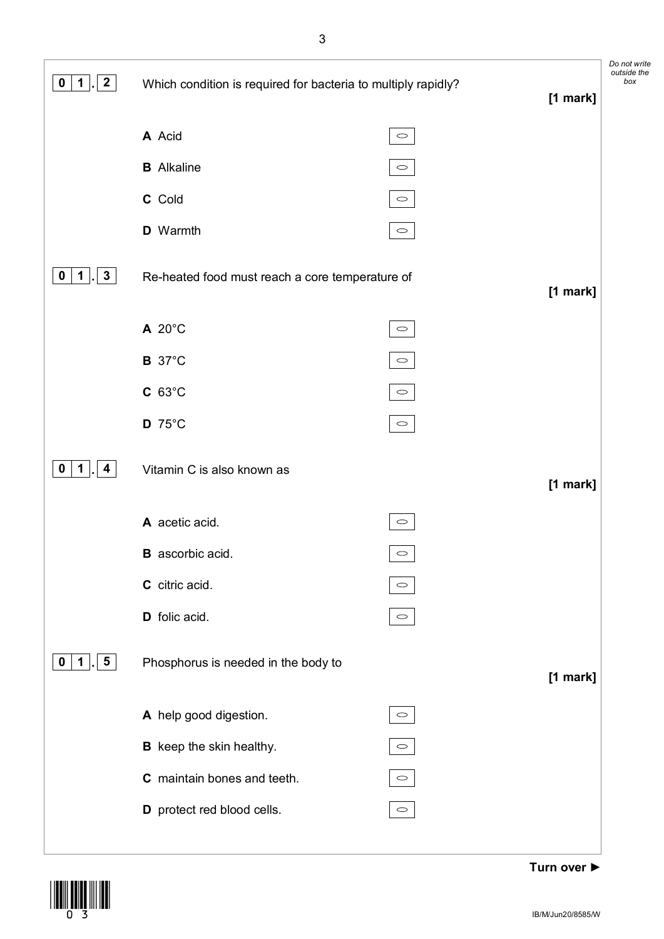| $\mathbf{2}$<br>$\mathbf 0$<br>$\mathbf 1$            | Which condition is required for bacteria to multiply rapidly? |                        | $[1$ mark] | Do not write<br>outside the<br>box |
|-------------------------------------------------------|---------------------------------------------------------------|------------------------|------------|------------------------------------|
|                                                       | A Acid                                                        | $\circlearrowright$    |            |                                    |
|                                                       | <b>B</b> Alkaline                                             | $\circ$                |            |                                    |
|                                                       | C Cold                                                        | $\circlearrowright$    |            |                                    |
|                                                       | D Warmth                                                      | $\circlearrowright$    |            |                                    |
| $\mathbf{3}$<br>$\mathbf 0$<br>$\mathbf 1$            | Re-heated food must reach a core temperature of               |                        | [1 mark]   |                                    |
|                                                       | A 20°C                                                        | $\circ$                |            |                                    |
|                                                       | <b>B</b> 37°C                                                 | $\circlearrowright$    |            |                                    |
|                                                       | $C$ 63 $^{\circ}C$                                            | $\bigcirc$             |            |                                    |
|                                                       | $D$ 75°C                                                      | $\hspace{1.5cm} \circ$ |            |                                    |
| $\mathbf 1$<br>$\overline{\mathbf{4}}$<br>$\mathbf 0$ | Vitamin C is also known as                                    |                        | [1 mark]   |                                    |
|                                                       | A acetic acid.                                                | $\circlearrowright$    |            |                                    |
|                                                       | <b>B</b> ascorbic acid.                                       | $\circ$                |            |                                    |
|                                                       | C citric acid.                                                | $\circlearrowright$    |            |                                    |
|                                                       | D folic acid.                                                 | $\circlearrowright$    |            |                                    |
| 5<br>$\bf{0}$<br>1                                    | Phosphorus is needed in the body to                           |                        | [1 mark]   |                                    |
|                                                       | A help good digestion.                                        | $\bigcirc$             |            |                                    |
|                                                       | <b>B</b> keep the skin healthy.                               | $\bigcirc$             |            |                                    |
|                                                       | C maintain bones and teeth.                                   | $\circlearrowright$    |            |                                    |
|                                                       | D protect red blood cells.                                    | $\bigcirc$             |            |                                    |
|                                                       |                                                               |                        |            |                                    |

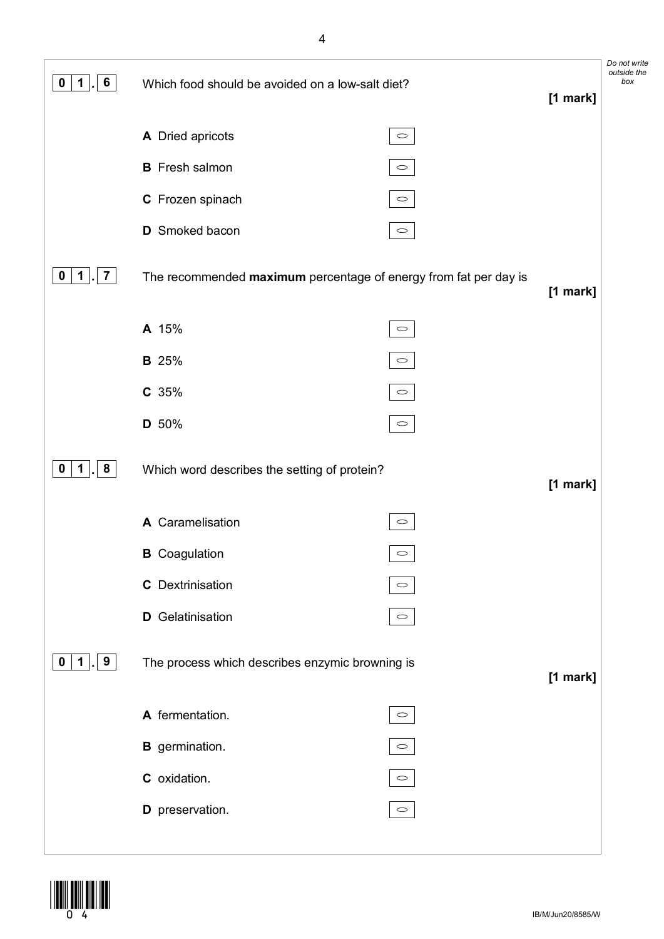| 6<br>0<br>1                       | Which food should be avoided on a low-salt diet?                 |                     |            | Do not write<br>outside the<br>box |
|-----------------------------------|------------------------------------------------------------------|---------------------|------------|------------------------------------|
|                                   |                                                                  |                     | $[1$ mark] |                                    |
|                                   | A Dried apricots                                                 | $\circ$             |            |                                    |
|                                   | <b>B</b> Fresh salmon                                            | $\circlearrowright$ |            |                                    |
|                                   | C Frozen spinach                                                 | $\circlearrowright$ |            |                                    |
|                                   | <b>D</b> Smoked bacon                                            | $\circlearrowright$ |            |                                    |
| $\overline{7}$<br>0<br>$1 \mid$   | The recommended maximum percentage of energy from fat per day is |                     | $[1$ mark] |                                    |
|                                   | A 15%                                                            | $\circlearrowright$ |            |                                    |
|                                   | <b>B</b> 25%                                                     | $\circ$             |            |                                    |
|                                   | C.35%                                                            | $\bigcirc$          |            |                                    |
|                                   | D 50%                                                            | $\circ$             |            |                                    |
| $\boldsymbol{8}$<br>$1 \mid$<br>0 | Which word describes the setting of protein?                     |                     | $[1$ mark] |                                    |
|                                   | A Caramelisation                                                 | $\circlearrowright$ |            |                                    |
|                                   | <b>B</b> Coagulation                                             | $\circlearrowright$ |            |                                    |
|                                   | <b>C</b> Dextrinisation                                          | $\circ$             |            |                                    |
|                                   | <b>D</b> Gelatinisation                                          | $\circ$             |            |                                    |
| 9<br>$\mathbf 1$<br>0             | The process which describes enzymic browning is                  |                     | $[1$ mark] |                                    |
|                                   | A fermentation.                                                  | $\circ$             |            |                                    |
|                                   | <b>B</b> germination.                                            | $\circ$             |            |                                    |
|                                   | C oxidation.                                                     | $\circ$             |            |                                    |
|                                   | D preservation.                                                  | $\circ$             |            |                                    |
|                                   |                                                                  |                     |            |                                    |

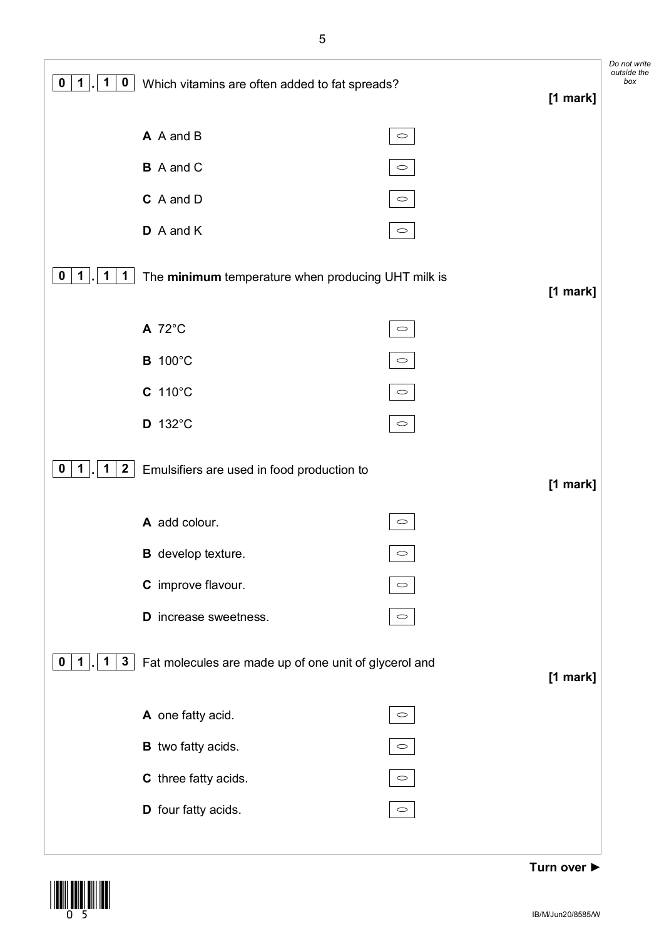| 0 <br>$\mathbf 1$<br>1<br>0                                 | Which vitamins are often added to fat spreads?        |                        |            | Do not write<br>outside the<br>box |
|-------------------------------------------------------------|-------------------------------------------------------|------------------------|------------|------------------------------------|
|                                                             |                                                       |                        | [1 mark]   |                                    |
|                                                             | A A and B                                             | $\circlearrowright$    |            |                                    |
|                                                             | <b>B</b> A and C                                      | $\circlearrowright$    |            |                                    |
|                                                             | C A and D                                             | $\circlearrowright$    |            |                                    |
|                                                             | $D$ A and K                                           | $\hspace{1.5cm} \circ$ |            |                                    |
| 1 <sup>1</sup><br>$\mathbf 1$<br>1<br>$\mathbf{0}$          | The minimum temperature when producing UHT milk is    |                        | $[1$ mark] |                                    |
|                                                             | A 72°C                                                | $\circ$                |            |                                    |
|                                                             | <b>B</b> 100°C                                        | $\circlearrowright$    |            |                                    |
|                                                             | C 110°C                                               | $\circlearrowright$    |            |                                    |
|                                                             | D 132°C                                               | $\circ$                |            |                                    |
| $\overline{2}$<br>$\mathbf 1$<br>$\mathbf 1$<br>$\mathbf 0$ | Emulsifiers are used in food production to            |                        | $[1$ mark] |                                    |
|                                                             | A add colour.                                         | $\circlearrowright$    |            |                                    |
|                                                             | <b>B</b> develop texture.                             | $\circlearrowright$    |            |                                    |
|                                                             | C improve flavour.                                    | $\qquad \qquad \circ$  |            |                                    |
|                                                             | <b>D</b> increase sweetness.                          | $\circlearrowright$    |            |                                    |
| $\mathbf{3}$<br>1<br>1<br>$\mathbf 0$                       | Fat molecules are made up of one unit of glycerol and |                        | $[1$ mark] |                                    |
|                                                             | A one fatty acid.                                     | $\bigcirc$             |            |                                    |
|                                                             | <b>B</b> two fatty acids.                             | $\hspace{0.1cm} \circ$ |            |                                    |
|                                                             | C three fatty acids.                                  | $\circlearrowright$    |            |                                    |
|                                                             | D four fatty acids.                                   | $\circlearrowright$    |            |                                    |
|                                                             |                                                       |                        |            |                                    |

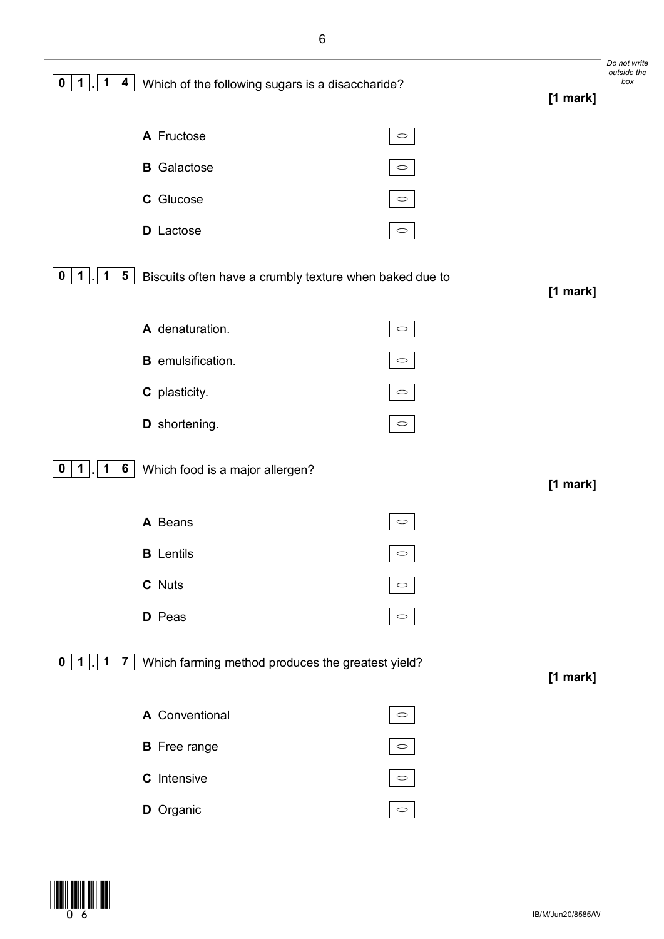| 4<br>0<br>1<br>1                                             | Which of the following sugars is a disaccharide?        |                     |          | Do not write<br>outside the<br>box |
|--------------------------------------------------------------|---------------------------------------------------------|---------------------|----------|------------------------------------|
|                                                              |                                                         |                     | [1 mark] |                                    |
|                                                              | A Fructose                                              | $\circ$             |          |                                    |
|                                                              | <b>B</b> Galactose                                      | $\circlearrowright$ |          |                                    |
|                                                              | C Glucose                                               | $\circlearrowright$ |          |                                    |
|                                                              | <b>D</b> Lactose                                        | $\bigcirc$          |          |                                    |
| $5\phantom{.0}$<br>0<br>1<br>1                               | Biscuits often have a crumbly texture when baked due to |                     | [1 mark] |                                    |
|                                                              | A denaturation.                                         | $\bigcirc$          |          |                                    |
|                                                              | <b>B</b> emulsification.                                | $\circlearrowright$ |          |                                    |
|                                                              | C plasticity.                                           | $\bigcirc$          |          |                                    |
|                                                              | D shortening.                                           | $\bigcirc$          |          |                                    |
| $6 \mid$<br>$\mathbf{1}$<br>$\mathbf 0$<br>$\mathbf{1}$      | Which food is a major allergen?                         |                     | [1 mark] |                                    |
|                                                              | A Beans                                                 | $\circ$             |          |                                    |
|                                                              | <b>B</b> Lentils                                        | $\circlearrowright$ |          |                                    |
|                                                              | C Nuts                                                  | $\bigcirc$          |          |                                    |
|                                                              | D Peas                                                  | $\circ$             |          |                                    |
| $\overline{7}$<br>$\mathbf 0$<br>$\mathbf{1}$<br>$\mathbf 1$ | Which farming method produces the greatest yield?       |                     | [1 mark] |                                    |
|                                                              | A Conventional                                          | $\bigcirc$          |          |                                    |
|                                                              | <b>B</b> Free range                                     | $\bigcirc$          |          |                                    |
|                                                              | C Intensive                                             | $\bigcirc$          |          |                                    |
|                                                              | D Organic                                               | $\bigcirc$          |          |                                    |
|                                                              |                                                         |                     |          |                                    |

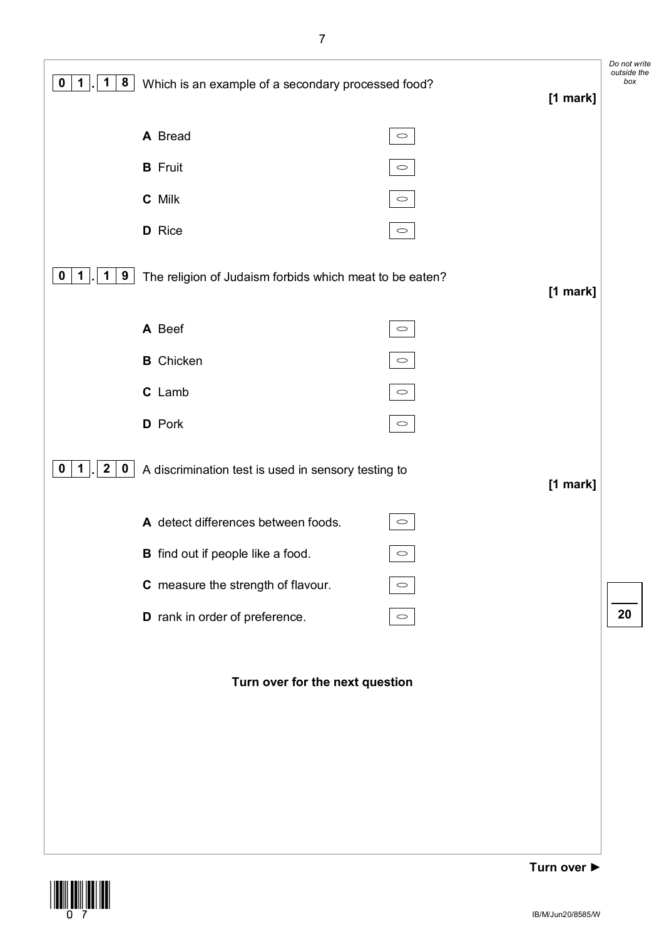| 8<br>$\mathbf 1$<br>0<br>1           | Which is an example of a secondary processed food?      |                     | [1 mark] | Do not write<br>outside the<br>box |
|--------------------------------------|---------------------------------------------------------|---------------------|----------|------------------------------------|
|                                      |                                                         |                     |          |                                    |
|                                      | A Bread                                                 | $\circlearrowright$ |          |                                    |
|                                      | <b>B</b> Fruit                                          | $\circlearrowright$ |          |                                    |
|                                      | C Milk                                                  | $\circlearrowright$ |          |                                    |
|                                      | D Rice                                                  | $\bigcirc$          |          |                                    |
| 9<br>0<br>$\mathbf 1$<br>$\mathbf 1$ | The religion of Judaism forbids which meat to be eaten? |                     | [1 mark] |                                    |
|                                      | A Beef                                                  | $\circlearrowright$ |          |                                    |
|                                      | <b>B</b> Chicken                                        | $\circlearrowright$ |          |                                    |
|                                      | C Lamb                                                  | $\circlearrowright$ |          |                                    |
|                                      | D Pork                                                  | $\circ$             |          |                                    |
| $2 \mid$<br>$\mathbf{0}$<br>1<br>0   | A discrimination test is used in sensory testing to     |                     | [1 mark] |                                    |
|                                      | A detect differences between foods.                     | $\circlearrowright$ |          |                                    |
|                                      | <b>B</b> find out if people like a food.                | $\circlearrowright$ |          |                                    |
|                                      | C measure the strength of flavour.                      | $\circlearrowright$ |          |                                    |
|                                      | D rank in order of preference.                          | $\circlearrowright$ |          | 20                                 |
|                                      | Turn over for the next question                         |                     |          |                                    |
|                                      |                                                         |                     |          |                                    |
|                                      |                                                         |                     |          |                                    |
|                                      |                                                         |                     |          |                                    |
|                                      |                                                         |                     |          |                                    |

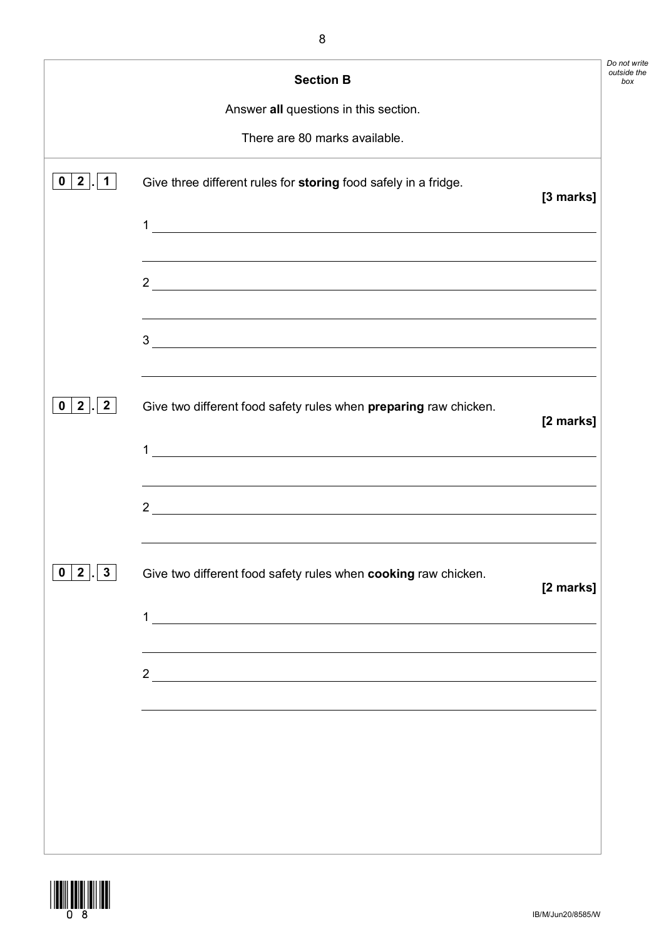| <b>Section B</b><br>Answer all questions in this section.<br>There are 80 marks available.<br>2 <sub>1</sub><br>Give three different rules for storing food safely in a fridge.<br>$\mathbf 1$<br>1<br><u> 1989 - Johann Stoff, deutscher Stoffen und der Stoffen und der Stoffen und der Stoffen und der Stoffen und de</u><br>的,我们也不会有什么。""我们的人,我们也不会有什么?""我们的人,我们也不会有什么?""我们的人,我们也不会有什么?""我们的人,我们也不会有什么?""我们的<br>$2 \overline{ }$<br>,我们也不会有什么。""我们的人,我们也不会有什么?""我们的人,我们也不会有什么?""我们的人,我们也不会有什么?""我们的人,我们也不会有什么?""我们的人<br>3<br><u> 1980 - Johann Stoff, deutscher Stoffen und der Stoffen und der Stoffen und der Stoffen und der Stoffen und de</u><br>$2$ .<br>$\mathbf{2}$<br>Give two different food safety rules when preparing raw chicken.<br>1<br><u> 1980 - Johann Stoff, Amerikaansk politiker († 1901)</u><br><u> 1989 - Johann Stoff, deutscher Stoffen und der Stoffen und der Stoffen und der Stoffen und der Stoffen und de</u><br>$2 \overline{ }$<br>$\mathbf{3}$<br>Give two different food safety rules when cooking raw chicken.<br>$\mathbf{2}$ |           |
|------------------------------------------------------------------------------------------------------------------------------------------------------------------------------------------------------------------------------------------------------------------------------------------------------------------------------------------------------------------------------------------------------------------------------------------------------------------------------------------------------------------------------------------------------------------------------------------------------------------------------------------------------------------------------------------------------------------------------------------------------------------------------------------------------------------------------------------------------------------------------------------------------------------------------------------------------------------------------------------------------------------------------------------------------------------------|-----------|
|                                                                                                                                                                                                                                                                                                                                                                                                                                                                                                                                                                                                                                                                                                                                                                                                                                                                                                                                                                                                                                                                        |           |
|                                                                                                                                                                                                                                                                                                                                                                                                                                                                                                                                                                                                                                                                                                                                                                                                                                                                                                                                                                                                                                                                        |           |
|                                                                                                                                                                                                                                                                                                                                                                                                                                                                                                                                                                                                                                                                                                                                                                                                                                                                                                                                                                                                                                                                        | [3 marks] |
|                                                                                                                                                                                                                                                                                                                                                                                                                                                                                                                                                                                                                                                                                                                                                                                                                                                                                                                                                                                                                                                                        |           |
|                                                                                                                                                                                                                                                                                                                                                                                                                                                                                                                                                                                                                                                                                                                                                                                                                                                                                                                                                                                                                                                                        |           |
|                                                                                                                                                                                                                                                                                                                                                                                                                                                                                                                                                                                                                                                                                                                                                                                                                                                                                                                                                                                                                                                                        |           |
|                                                                                                                                                                                                                                                                                                                                                                                                                                                                                                                                                                                                                                                                                                                                                                                                                                                                                                                                                                                                                                                                        | [2 marks] |
|                                                                                                                                                                                                                                                                                                                                                                                                                                                                                                                                                                                                                                                                                                                                                                                                                                                                                                                                                                                                                                                                        |           |
|                                                                                                                                                                                                                                                                                                                                                                                                                                                                                                                                                                                                                                                                                                                                                                                                                                                                                                                                                                                                                                                                        |           |
|                                                                                                                                                                                                                                                                                                                                                                                                                                                                                                                                                                                                                                                                                                                                                                                                                                                                                                                                                                                                                                                                        | [2 marks] |
| 1<br><u> 1980 - Johann Barn, amerikan besteman besteman besteman besteman besteman besteman besteman besteman bestema</u>                                                                                                                                                                                                                                                                                                                                                                                                                                                                                                                                                                                                                                                                                                                                                                                                                                                                                                                                              |           |
| $2 \overline{ }$                                                                                                                                                                                                                                                                                                                                                                                                                                                                                                                                                                                                                                                                                                                                                                                                                                                                                                                                                                                                                                                       |           |
|                                                                                                                                                                                                                                                                                                                                                                                                                                                                                                                                                                                                                                                                                                                                                                                                                                                                                                                                                                                                                                                                        |           |

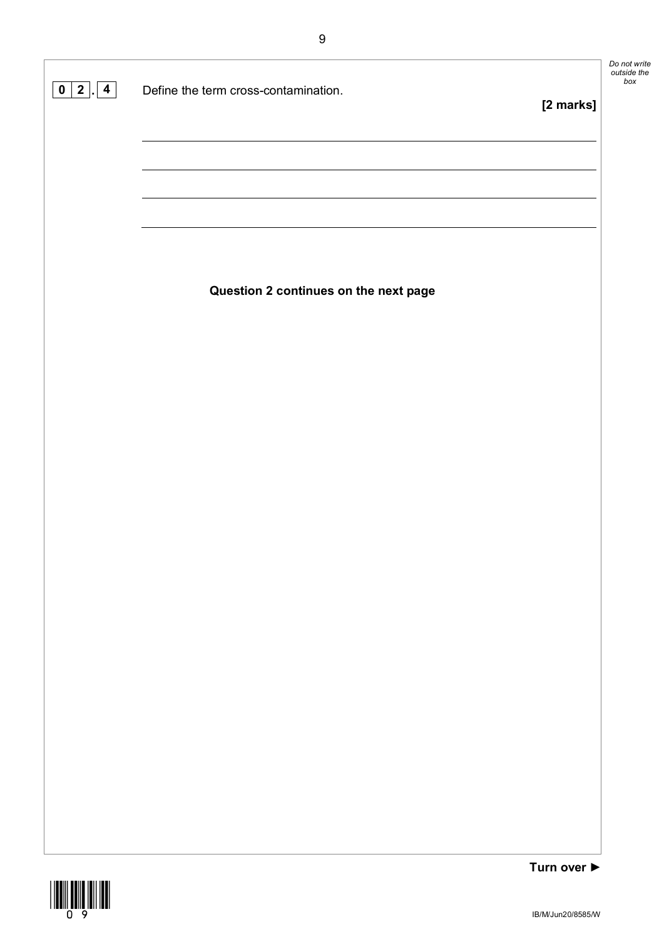|                                                 |                                       | Do not write<br>outside the     |  |
|-------------------------------------------------|---------------------------------------|---------------------------------|--|
| $\overline{\mathbf{4}}$<br>$2$ .<br>$\mathbf 0$ | Define the term cross-contamination.  | box<br>[2 marks]                |  |
|                                                 |                                       |                                 |  |
|                                                 |                                       |                                 |  |
|                                                 |                                       |                                 |  |
|                                                 | Question 2 continues on the next page |                                 |  |
|                                                 |                                       |                                 |  |
|                                                 |                                       |                                 |  |
|                                                 |                                       |                                 |  |
|                                                 |                                       |                                 |  |
|                                                 |                                       |                                 |  |
|                                                 |                                       |                                 |  |
|                                                 |                                       |                                 |  |
|                                                 |                                       |                                 |  |
|                                                 |                                       |                                 |  |
|                                                 |                                       |                                 |  |
|                                                 |                                       |                                 |  |
|                                                 |                                       | Turn over $\blacktriangleright$ |  |
|                                                 |                                       |                                 |  |

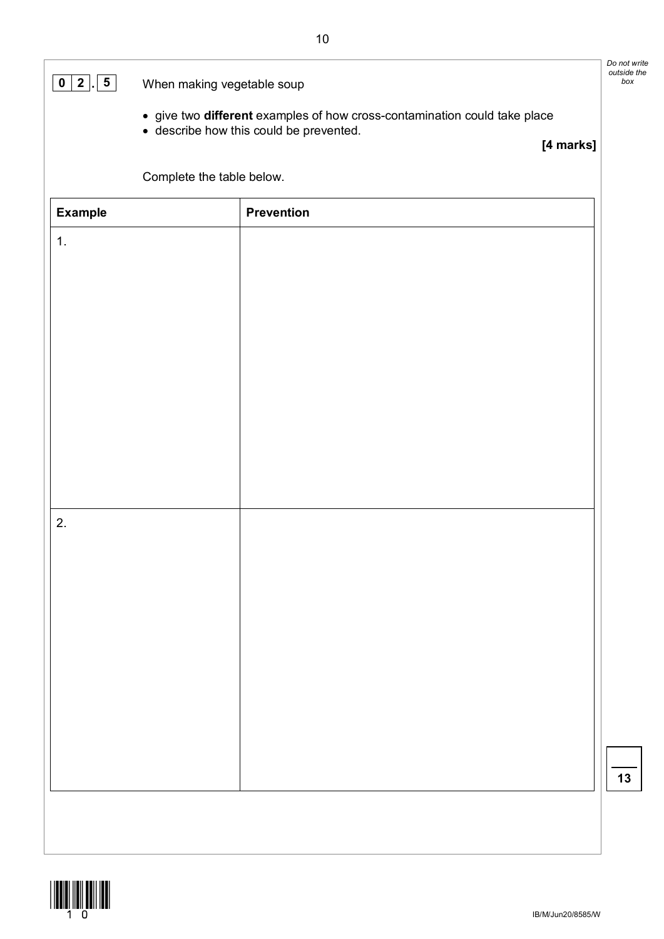| 5 <sup>1</sup>        |                                                                                                                      | Do not write<br>outside the<br>box |
|-----------------------|----------------------------------------------------------------------------------------------------------------------|------------------------------------|
| $2$  .<br>$\mathbf 0$ | When making vegetable soup                                                                                           |                                    |
|                       | • give two different examples of how cross-contamination could take place<br>• describe how this could be prevented. |                                    |
|                       | [4 marks]                                                                                                            |                                    |
|                       | Complete the table below.                                                                                            |                                    |
| <b>Example</b>        | <b>Prevention</b>                                                                                                    |                                    |
| 1.                    |                                                                                                                      |                                    |
|                       |                                                                                                                      |                                    |
|                       |                                                                                                                      |                                    |
|                       |                                                                                                                      |                                    |
|                       |                                                                                                                      |                                    |
|                       |                                                                                                                      |                                    |
|                       |                                                                                                                      |                                    |
|                       |                                                                                                                      |                                    |
|                       |                                                                                                                      |                                    |
|                       |                                                                                                                      |                                    |
| 2.                    |                                                                                                                      |                                    |
|                       |                                                                                                                      |                                    |
|                       |                                                                                                                      |                                    |
|                       |                                                                                                                      |                                    |
|                       |                                                                                                                      |                                    |
|                       |                                                                                                                      |                                    |
|                       |                                                                                                                      |                                    |
|                       |                                                                                                                      |                                    |
|                       |                                                                                                                      |                                    |
|                       |                                                                                                                      |                                    |
|                       |                                                                                                                      | 13                                 |
|                       |                                                                                                                      |                                    |
|                       |                                                                                                                      |                                    |



10

IB/M/Jun20/8585/W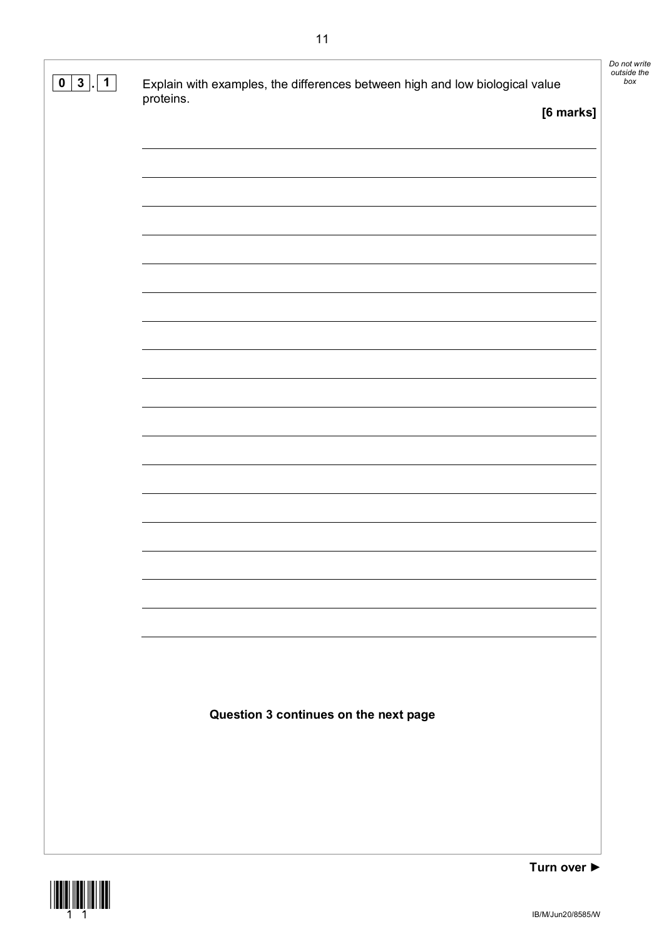|                                            |                                                                              | Do not write<br>outside the |
|--------------------------------------------|------------------------------------------------------------------------------|-----------------------------|
| $\mathbf{3}$<br>$\mathbf 1$<br>$\mathbf 0$ | Explain with examples, the differences between high and low biological value | box                         |
|                                            | proteins.<br>[6 marks]                                                       |                             |
|                                            |                                                                              |                             |
|                                            |                                                                              |                             |
|                                            |                                                                              |                             |
|                                            |                                                                              |                             |
|                                            |                                                                              |                             |
|                                            |                                                                              |                             |
|                                            |                                                                              |                             |
|                                            |                                                                              |                             |
|                                            |                                                                              |                             |
|                                            |                                                                              |                             |
|                                            |                                                                              |                             |
|                                            |                                                                              |                             |
|                                            |                                                                              |                             |
|                                            |                                                                              |                             |
|                                            |                                                                              |                             |
|                                            |                                                                              |                             |
|                                            |                                                                              |                             |
|                                            |                                                                              |                             |
|                                            |                                                                              |                             |
|                                            |                                                                              |                             |
|                                            |                                                                              |                             |
|                                            |                                                                              |                             |
|                                            |                                                                              |                             |
|                                            |                                                                              |                             |
|                                            |                                                                              |                             |
|                                            |                                                                              |                             |
|                                            |                                                                              |                             |
|                                            | Question 3 continues on the next page                                        |                             |
|                                            |                                                                              |                             |
|                                            |                                                                              |                             |
|                                            |                                                                              |                             |
|                                            |                                                                              |                             |
|                                            |                                                                              |                             |
|                                            |                                                                              |                             |
|                                            | Turn over ▶                                                                  |                             |

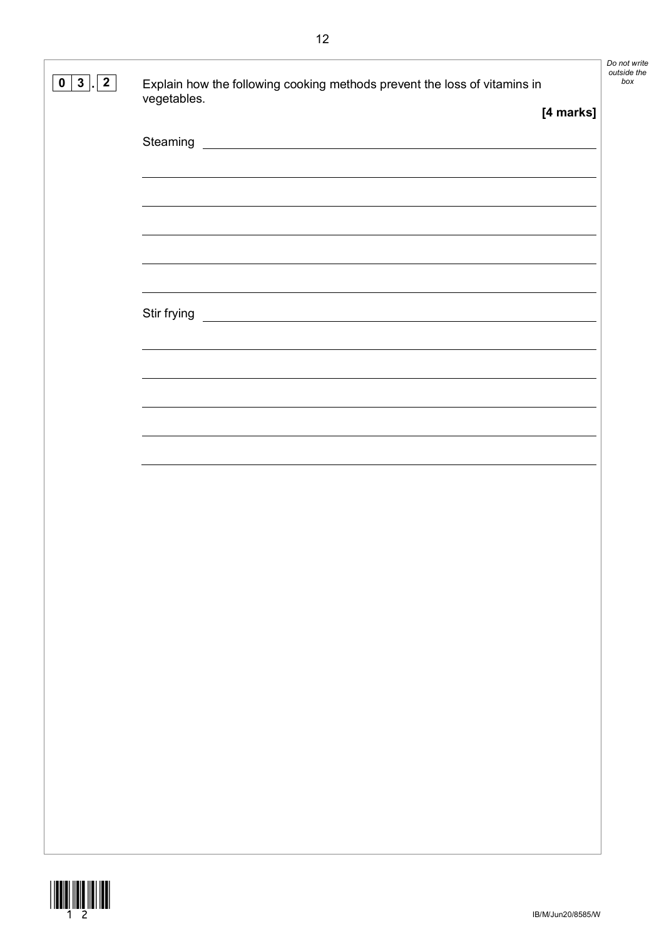| $\vert 2 \vert$<br>$3\overline{)}$<br>$\mathbf 0$ | Explain how the following cooking methods prevent the loss of vitamins in                                                                                                                                                            | Do not write<br>outside the<br>box |
|---------------------------------------------------|--------------------------------------------------------------------------------------------------------------------------------------------------------------------------------------------------------------------------------------|------------------------------------|
|                                                   | vegetables.<br>[4 marks]                                                                                                                                                                                                             |                                    |
|                                                   | Steaming <b>contract of the contract of the contract of the contract of the contract of the contract of the contract of the contract of the contract of the contract of the contract of the contract of the contract of the cont</b> |                                    |
|                                                   |                                                                                                                                                                                                                                      |                                    |
|                                                   |                                                                                                                                                                                                                                      |                                    |
|                                                   |                                                                                                                                                                                                                                      |                                    |
|                                                   |                                                                                                                                                                                                                                      |                                    |
|                                                   |                                                                                                                                                                                                                                      |                                    |
|                                                   |                                                                                                                                                                                                                                      |                                    |
|                                                   |                                                                                                                                                                                                                                      |                                    |
|                                                   |                                                                                                                                                                                                                                      |                                    |
|                                                   |                                                                                                                                                                                                                                      |                                    |
|                                                   |                                                                                                                                                                                                                                      |                                    |
|                                                   |                                                                                                                                                                                                                                      |                                    |
|                                                   |                                                                                                                                                                                                                                      |                                    |
|                                                   |                                                                                                                                                                                                                                      |                                    |
|                                                   |                                                                                                                                                                                                                                      |                                    |
|                                                   |                                                                                                                                                                                                                                      |                                    |
|                                                   |                                                                                                                                                                                                                                      |                                    |
|                                                   |                                                                                                                                                                                                                                      |                                    |
|                                                   |                                                                                                                                                                                                                                      |                                    |
|                                                   |                                                                                                                                                                                                                                      |                                    |
|                                                   |                                                                                                                                                                                                                                      |                                    |
|                                                   |                                                                                                                                                                                                                                      |                                    |
|                                                   |                                                                                                                                                                                                                                      |                                    |
|                                                   |                                                                                                                                                                                                                                      |                                    |
|                                                   |                                                                                                                                                                                                                                      |                                    |
|                                                   |                                                                                                                                                                                                                                      |                                    |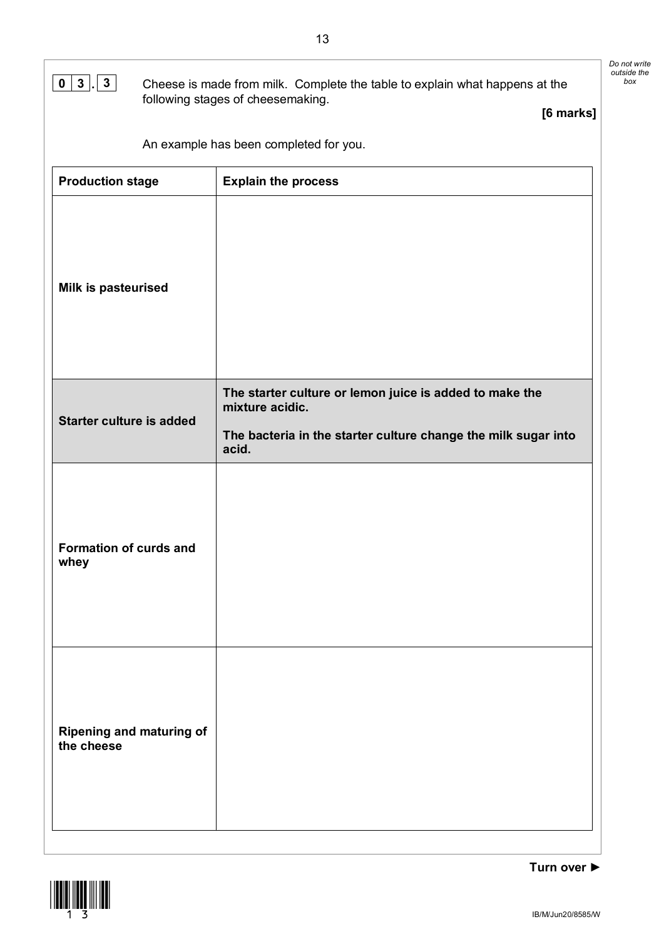|--|--|--|

*box* **0 3 . 3** Cheese is made from milk. Complete the table to explain what happens at the following stages of cheesemaking.

**[6 marks]**

*Do not write outside the* 

An example has been completed for you.

| <b>Production stage</b>                       | <b>Explain the process</b>                                                                                                                            |
|-----------------------------------------------|-------------------------------------------------------------------------------------------------------------------------------------------------------|
| Milk is pasteurised                           |                                                                                                                                                       |
| <b>Starter culture is added</b>               | The starter culture or lemon juice is added to make the<br>mixture acidic.<br>The bacteria in the starter culture change the milk sugar into<br>acid. |
| Formation of curds and<br>whey                |                                                                                                                                                       |
| <b>Ripening and maturing of</b><br>the cheese |                                                                                                                                                       |

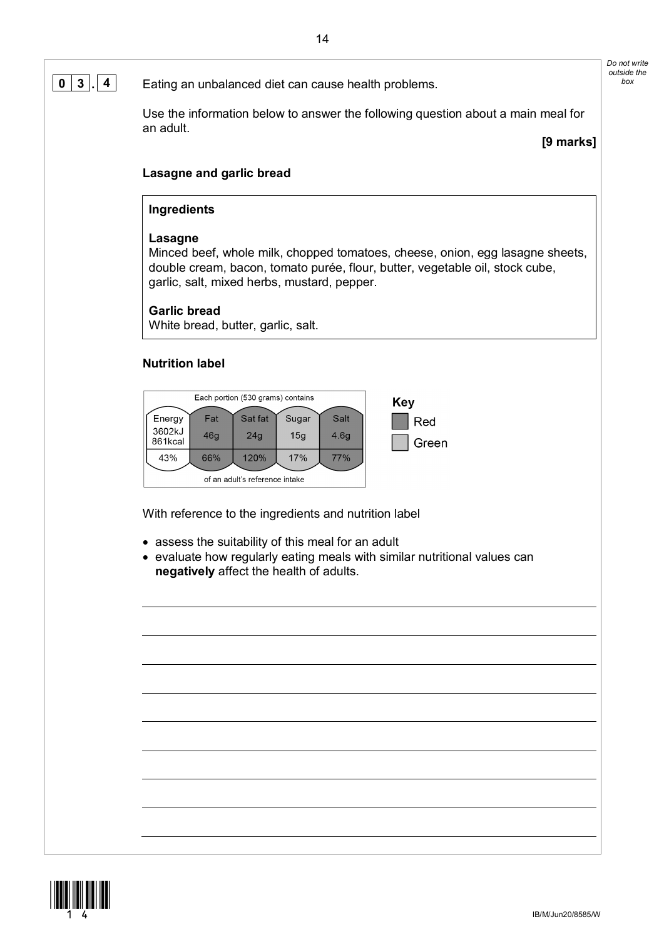**b 3 . 4** Eating an unbalanced diet can cause health problems.

Use the information below to answer the following question about a main meal for an adult.

#### **[9 marks]**

#### **Lasagne and garlic bread**

#### **Ingredients**

#### **Lasagne**

Minced beef, whole milk, chopped tomatoes, cheese, onion, egg lasagne sheets, double cream, bacon, tomato purée, flour, butter, vegetable oil, stock cube, garlic, salt, mixed herbs, mustard, pepper.

#### **Garlic bread**

White bread, butter, garlic, salt.

#### **Nutrition label**



With reference to the ingredients and nutrition label

- assess the suitability of this meal for an adult
- evaluate how regularly eating meals with similar nutritional values can **negatively** affect the health of adults.

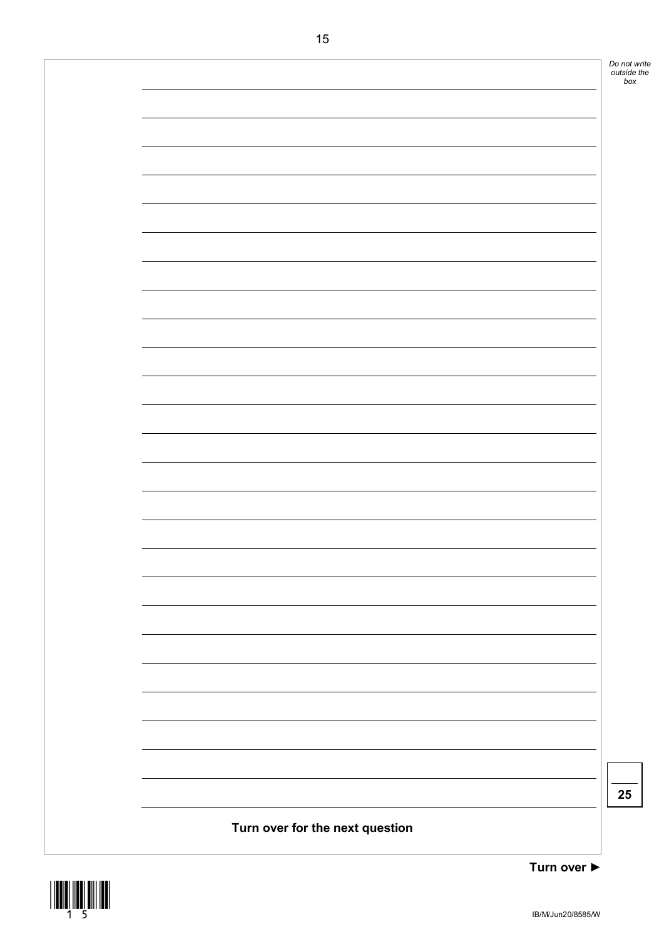

 $\begin{CD} \begin{CD} \mathbf{1} & \mathbf{1} & \mathbf{1} & \mathbf{1} & \mathbf{1} & \mathbf{1} & \mathbf{1} & \mathbf{1} & \mathbf{1} & \mathbf{1} & \mathbf{1} & \mathbf{1} & \mathbf{1} & \mathbf{1} & \mathbf{1} & \mathbf{1} & \mathbf{1} & \mathbf{1} & \mathbf{1} & \mathbf{1} & \mathbf{1} & \mathbf{1} & \mathbf{1} & \mathbf{1} & \mathbf{1} & \mathbf{1} & \mathbf{1} & \mathbf{1} & \mathbf{1} & \mathbf{1} &$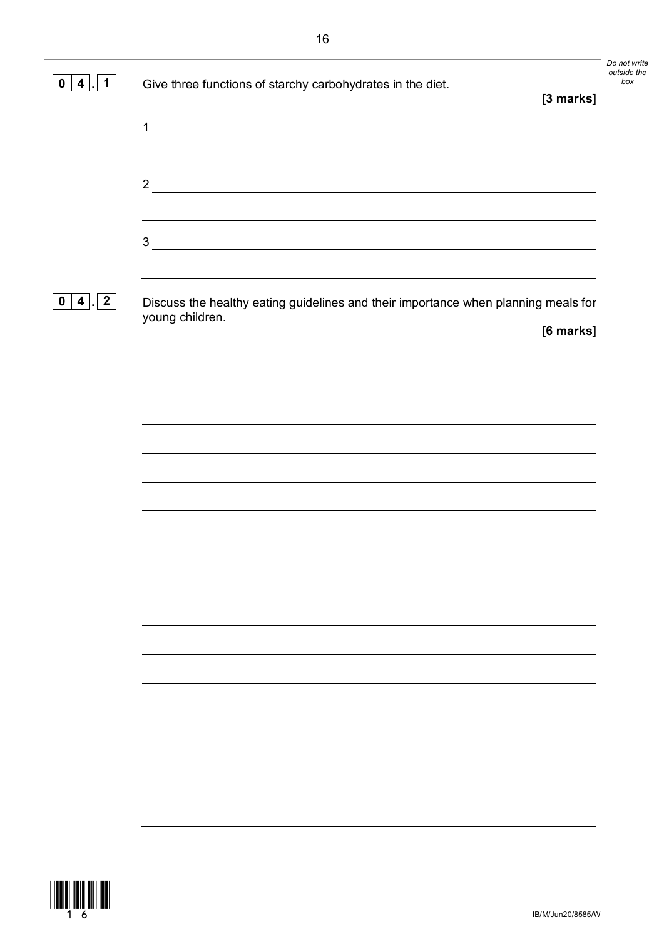| $\overline{\mathbf{4}}$<br>$\mathbf 1$<br>$\mathbf 0$ |                                                                                                                            | Do not write<br>outside the<br>box |
|-------------------------------------------------------|----------------------------------------------------------------------------------------------------------------------------|------------------------------------|
|                                                       | Give three functions of starchy carbohydrates in the diet.<br>[3 marks]                                                    |                                    |
|                                                       | 1<br><u> 1989 - Johann Stoff, deutscher Stoffen und der Stoffen und der Stoffen und der Stoffen und der Stoffen und de</u> |                                    |
|                                                       |                                                                                                                            |                                    |
|                                                       |                                                                                                                            |                                    |
|                                                       |                                                                                                                            |                                    |
|                                                       | 3<br><u> 1989 - Andrea Stadt Britain, amerikansk politik (d. 1989)</u>                                                     |                                    |
| $4$ . 2<br>$\mathbf{0}$                               |                                                                                                                            |                                    |
|                                                       | Discuss the healthy eating guidelines and their importance when planning meals for<br>young children.<br>[6 marks]         |                                    |
|                                                       |                                                                                                                            |                                    |
|                                                       | <u> 1989 - Johann Stoff, deutscher Stoffen und der Stoffen und der Stoffen und der Stoffen und der Stoffen und der</u>     |                                    |
|                                                       |                                                                                                                            |                                    |
|                                                       |                                                                                                                            |                                    |
|                                                       |                                                                                                                            |                                    |
|                                                       |                                                                                                                            |                                    |
|                                                       |                                                                                                                            |                                    |
|                                                       |                                                                                                                            |                                    |
|                                                       |                                                                                                                            |                                    |
|                                                       |                                                                                                                            |                                    |
|                                                       |                                                                                                                            |                                    |
|                                                       |                                                                                                                            |                                    |
|                                                       |                                                                                                                            |                                    |
|                                                       |                                                                                                                            |                                    |
|                                                       |                                                                                                                            |                                    |
|                                                       |                                                                                                                            |                                    |
|                                                       |                                                                                                                            |                                    |

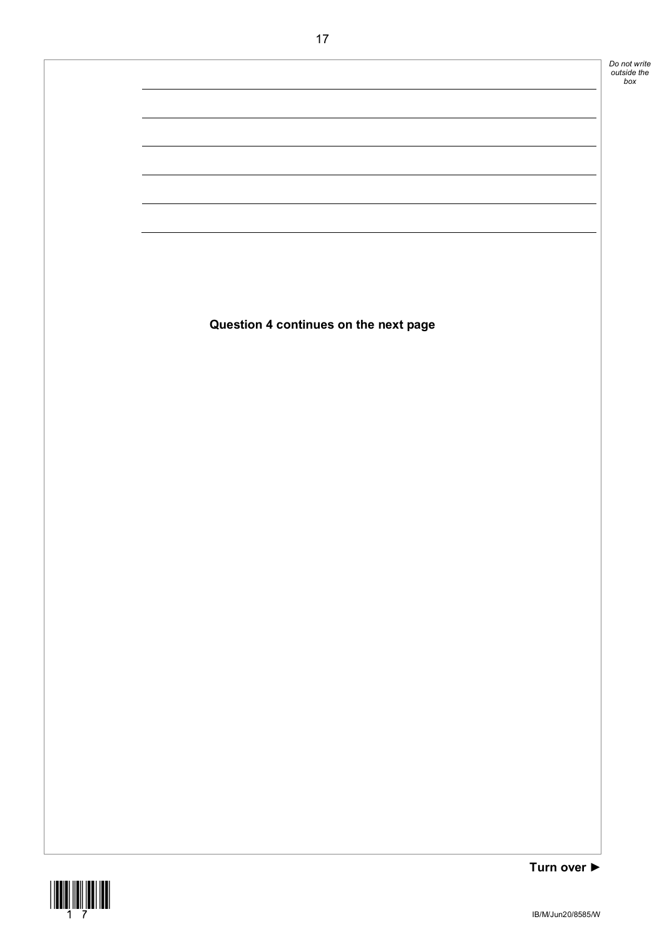

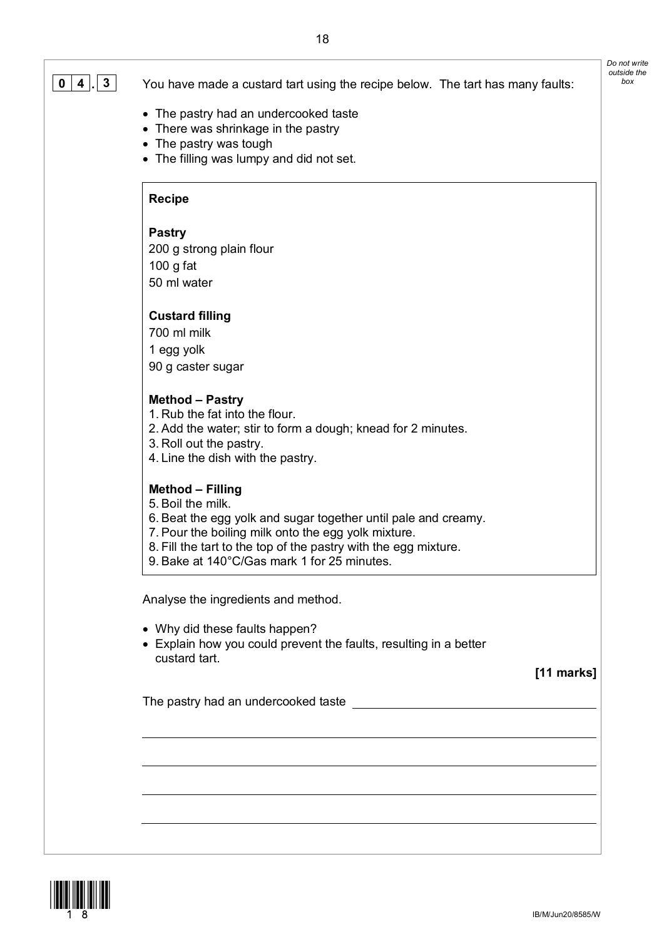**0**  $\mid$  **4**  $\mid$  **. 3**  $\mid$  You have made a custard tart using the recipe below. The tart has many faults:

- The pastry had an undercooked taste
- There was shrinkage in the pastry
- The pastry was tough
- The filling was lumpy and did not set.

#### **Recipe**

**Pastry** 200 g strong plain flour 100  $\alpha$  fat 50 ml water

#### **Custard filling**

700 ml milk 1 egg yolk 90 g caster sugar

#### **Method – Pastry**

1. Rub the fat into the flour.

- 2. Add the water; stir to form a dough; knead for 2 minutes.
- 3. Roll out the pastry.
- 4. Line the dish with the pastry.

#### **Method – Filling**

- 5. Boil the milk.
- 6. Beat the egg yolk and sugar together until pale and creamy.
- 7. Pour the boiling milk onto the egg yolk mixture.
- 8. Fill the tart to the top of the pastry with the egg mixture.
- 9. Bake at 140°C/Gas mark 1 for 25 minutes.

Analyse the ingredients and method.

- Why did these faults happen?
- Explain how you could prevent the faults, resulting in a better custard tart.

**[11 marks]**

The pastry had an undercooked taste



*Do not write outside the*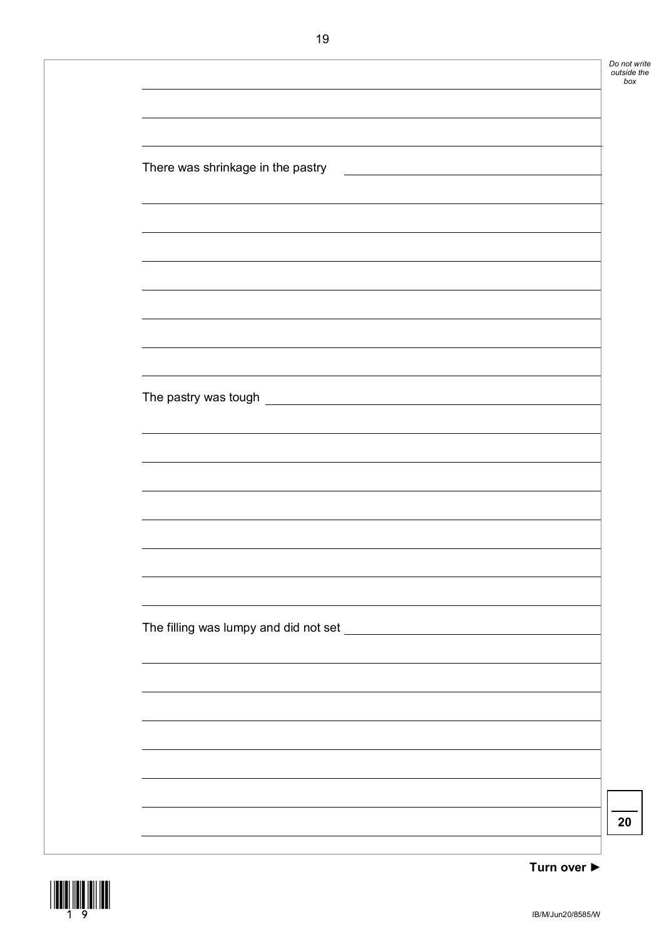| There was shrinkage in the pastry |  |
|-----------------------------------|--|
|                                   |  |
|                                   |  |
|                                   |  |
|                                   |  |
|                                   |  |
|                                   |  |
|                                   |  |
|                                   |  |
|                                   |  |
|                                   |  |
|                                   |  |
|                                   |  |
|                                   |  |
|                                   |  |
|                                   |  |
|                                   |  |
|                                   |  |
|                                   |  |
|                                   |  |
|                                   |  |
|                                   |  |
|                                   |  |
|                                   |  |

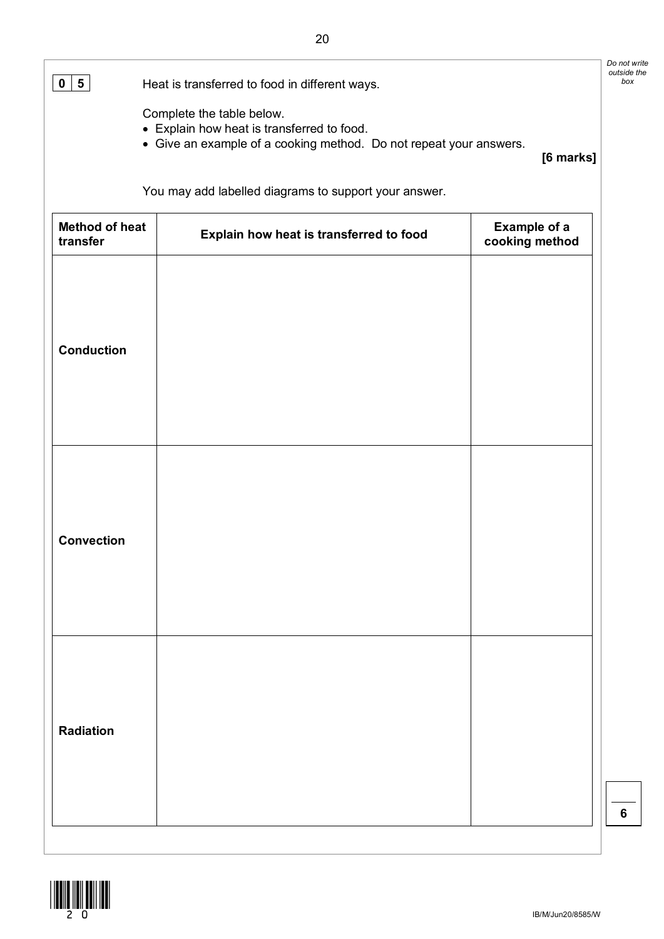|                                   |                                                                                                                                                                                                              | Do not write<br>outside the<br>box |
|-----------------------------------|--------------------------------------------------------------------------------------------------------------------------------------------------------------------------------------------------------------|------------------------------------|
| $5\overline{)}$<br>0              | Heat is transferred to food in different ways.<br>Complete the table below.<br>• Explain how heat is transferred to food.<br>• Give an example of a cooking method. Do not repeat your answers.<br>[6 marks] |                                    |
|                                   | You may add labelled diagrams to support your answer.                                                                                                                                                        |                                    |
| <b>Method of heat</b><br>transfer | Example of a<br>Explain how heat is transferred to food<br>cooking method                                                                                                                                    |                                    |
| <b>Conduction</b>                 |                                                                                                                                                                                                              |                                    |
| <b>Convection</b>                 |                                                                                                                                                                                                              |                                    |
| <b>Radiation</b>                  |                                                                                                                                                                                                              |                                    |
|                                   |                                                                                                                                                                                                              | 6                                  |

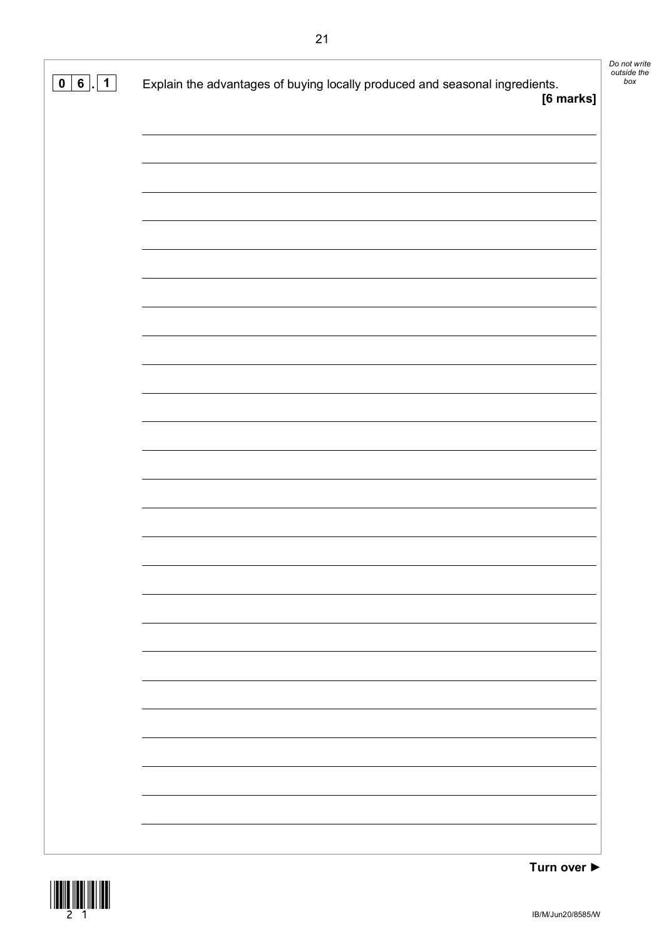| $\mathbf 1$<br>$6\overline{6}$<br>$\mathbf 0$ | Explain the advantages of buying locally produced and seasonal ingredients.<br>[6 marks] | Do not write<br>outside the<br>box |
|-----------------------------------------------|------------------------------------------------------------------------------------------|------------------------------------|
|                                               |                                                                                          |                                    |
|                                               |                                                                                          |                                    |
|                                               |                                                                                          |                                    |
|                                               |                                                                                          |                                    |
|                                               |                                                                                          |                                    |
|                                               |                                                                                          |                                    |
|                                               |                                                                                          |                                    |
|                                               |                                                                                          |                                    |
|                                               |                                                                                          |                                    |
|                                               |                                                                                          |                                    |
|                                               |                                                                                          |                                    |
|                                               |                                                                                          |                                    |

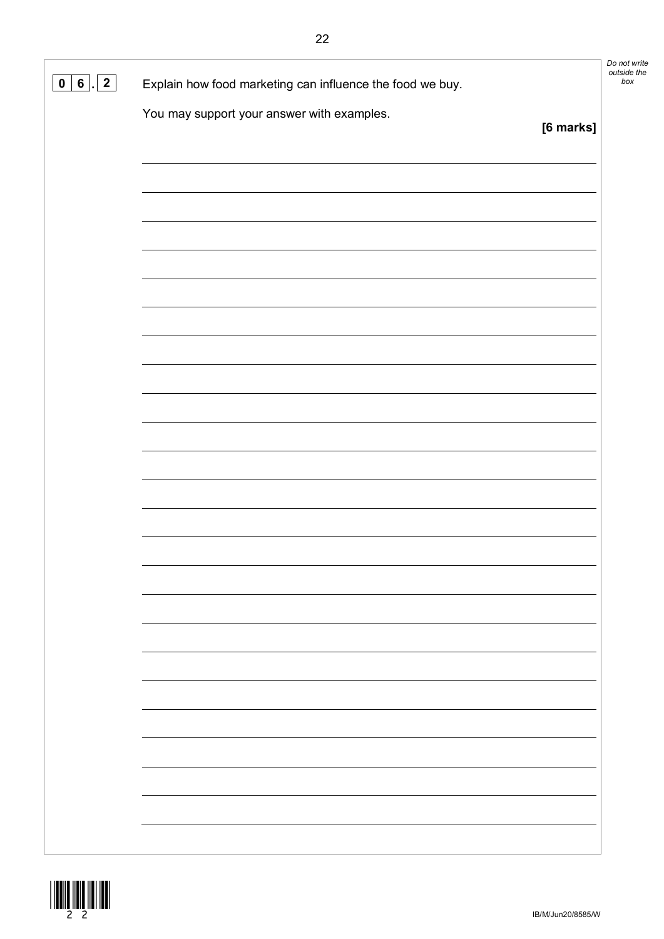|                         |                                                           |           | Do not write       |
|-------------------------|-----------------------------------------------------------|-----------|--------------------|
| $\overline{2}$<br>0   6 | Explain how food marketing can influence the food we buy. |           | outside the<br>box |
|                         |                                                           |           |                    |
|                         | You may support your answer with examples.                |           |                    |
|                         |                                                           | [6 marks] |                    |
|                         |                                                           |           |                    |
|                         |                                                           |           |                    |
|                         |                                                           |           |                    |
|                         |                                                           |           |                    |
|                         |                                                           |           |                    |
|                         |                                                           |           |                    |
|                         |                                                           |           |                    |
|                         |                                                           |           |                    |
|                         |                                                           |           |                    |
|                         |                                                           |           |                    |
|                         |                                                           |           |                    |
|                         |                                                           |           |                    |
|                         |                                                           |           |                    |
|                         |                                                           |           |                    |
|                         |                                                           |           |                    |
|                         |                                                           |           |                    |
|                         |                                                           |           |                    |
|                         |                                                           |           |                    |
|                         |                                                           |           |                    |
|                         |                                                           |           |                    |
|                         |                                                           |           |                    |
|                         |                                                           |           |                    |
|                         |                                                           |           |                    |
|                         |                                                           |           |                    |
|                         |                                                           |           |                    |
|                         |                                                           |           |                    |
|                         |                                                           |           |                    |
|                         |                                                           |           |                    |
|                         |                                                           |           |                    |
|                         |                                                           |           |                    |
|                         |                                                           |           |                    |
|                         |                                                           |           |                    |
|                         |                                                           |           |                    |
|                         |                                                           |           |                    |
|                         |                                                           |           |                    |
|                         |                                                           |           |                    |
|                         |                                                           |           |                    |
|                         |                                                           |           |                    |
|                         |                                                           |           |                    |
|                         |                                                           |           |                    |
|                         |                                                           |           |                    |

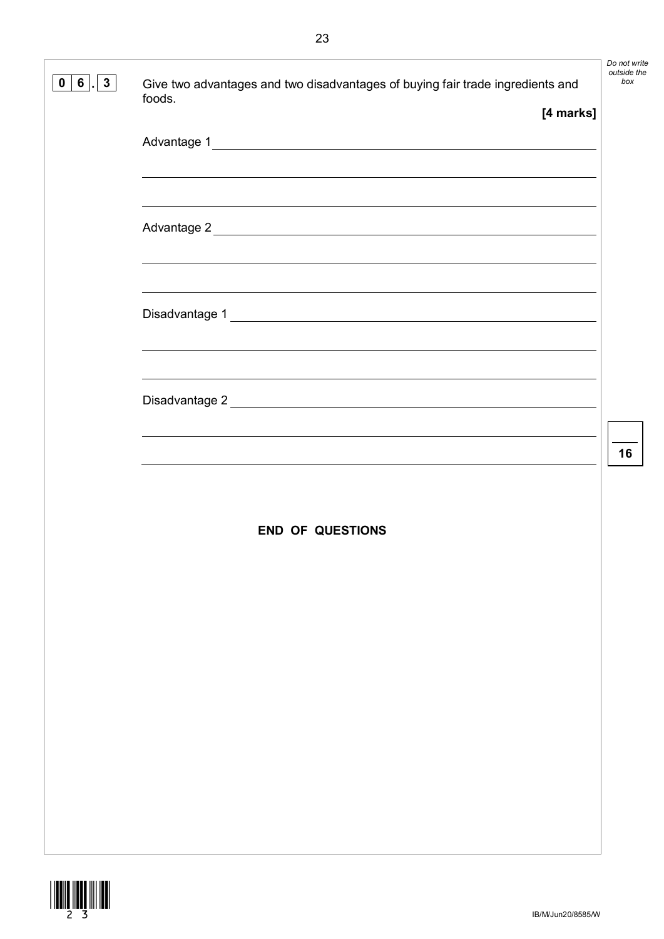| 3<br>$0 \mid 6 \mid$ . | Give two advantages and two disadvantages of buying fair trade ingredients and<br>foods.                               | Do not write<br>outside the<br>box |
|------------------------|------------------------------------------------------------------------------------------------------------------------|------------------------------------|
|                        | [4 marks]                                                                                                              |                                    |
|                        |                                                                                                                        |                                    |
|                        |                                                                                                                        |                                    |
|                        |                                                                                                                        |                                    |
|                        |                                                                                                                        |                                    |
|                        |                                                                                                                        |                                    |
|                        | ,我们也不会有什么。""我们的人,我们也不会有什么?""我们的人,我们也不会有什么?""我们的人,我们也不会有什么?""我们的人,我们也不会有什么?""我们的人                                       |                                    |
|                        |                                                                                                                        |                                    |
|                        |                                                                                                                        |                                    |
|                        |                                                                                                                        |                                    |
|                        |                                                                                                                        |                                    |
|                        | Disadvantage 2                                                                                                         |                                    |
|                        | <u> 1989 - Johann Stoff, deutscher Stoffen und der Stoffen und der Stoffen und der Stoffen und der Stoffen und der</u> |                                    |
|                        | <u> 1989 - Johann Stoff, deutscher Stoffen und der Stoffen und der Stoffen und der Stoffen und der Stoffen und der</u> | 16                                 |
|                        |                                                                                                                        |                                    |
|                        |                                                                                                                        |                                    |
|                        | <b>END OF QUESTIONS</b>                                                                                                |                                    |
|                        |                                                                                                                        |                                    |
|                        |                                                                                                                        |                                    |
|                        |                                                                                                                        |                                    |
|                        |                                                                                                                        |                                    |
|                        |                                                                                                                        |                                    |
|                        |                                                                                                                        |                                    |
|                        |                                                                                                                        |                                    |
|                        |                                                                                                                        |                                    |
|                        |                                                                                                                        |                                    |
|                        |                                                                                                                        |                                    |
|                        |                                                                                                                        |                                    |
|                        |                                                                                                                        |                                    |

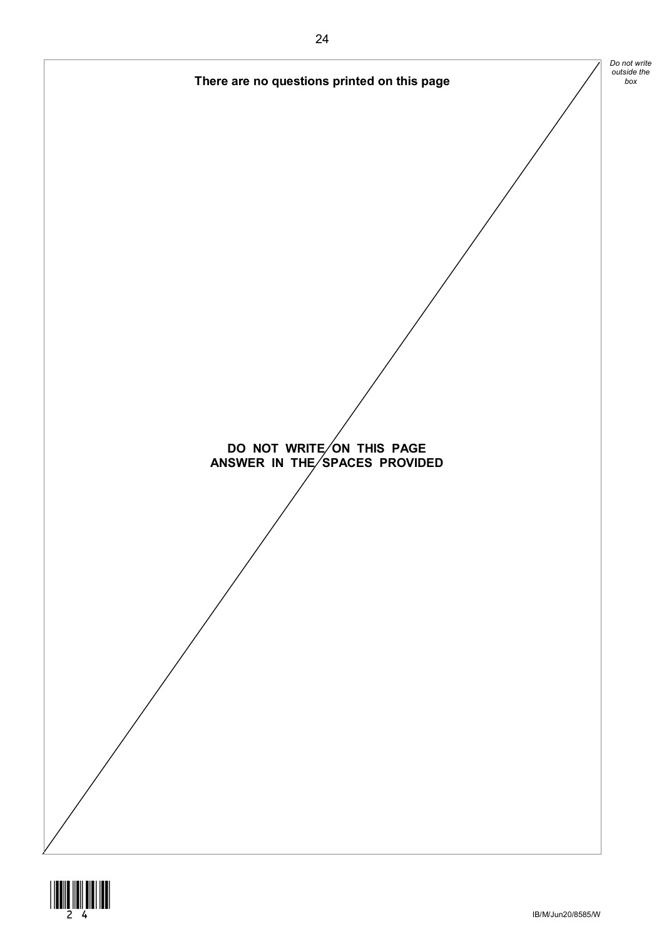

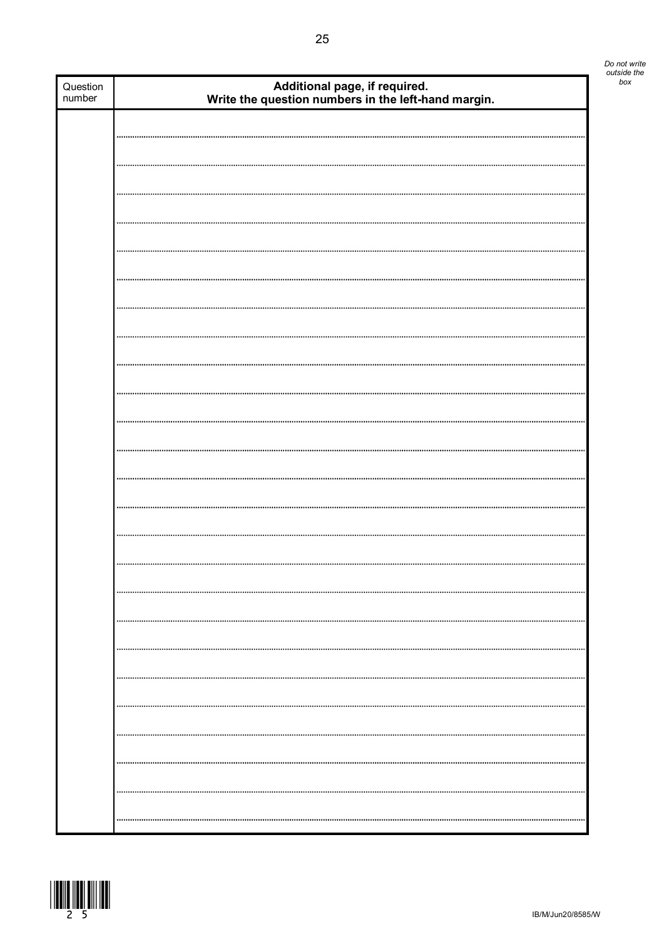| Question<br>number | Additional page, if required.<br>Write the question numbers in the left-hand margin. |  |
|--------------------|--------------------------------------------------------------------------------------|--|
|                    |                                                                                      |  |
|                    |                                                                                      |  |
|                    |                                                                                      |  |
|                    |                                                                                      |  |
|                    |                                                                                      |  |
|                    |                                                                                      |  |
|                    |                                                                                      |  |
|                    |                                                                                      |  |
|                    |                                                                                      |  |
|                    |                                                                                      |  |
|                    |                                                                                      |  |
|                    |                                                                                      |  |
|                    |                                                                                      |  |
|                    |                                                                                      |  |
|                    |                                                                                      |  |
|                    |                                                                                      |  |
|                    |                                                                                      |  |
|                    |                                                                                      |  |
|                    |                                                                                      |  |
|                    |                                                                                      |  |
|                    |                                                                                      |  |
|                    |                                                                                      |  |
|                    |                                                                                      |  |
|                    |                                                                                      |  |
|                    |                                                                                      |  |
|                    |                                                                                      |  |
|                    |                                                                                      |  |
|                    |                                                                                      |  |
|                    |                                                                                      |  |
|                    |                                                                                      |  |
|                    |                                                                                      |  |

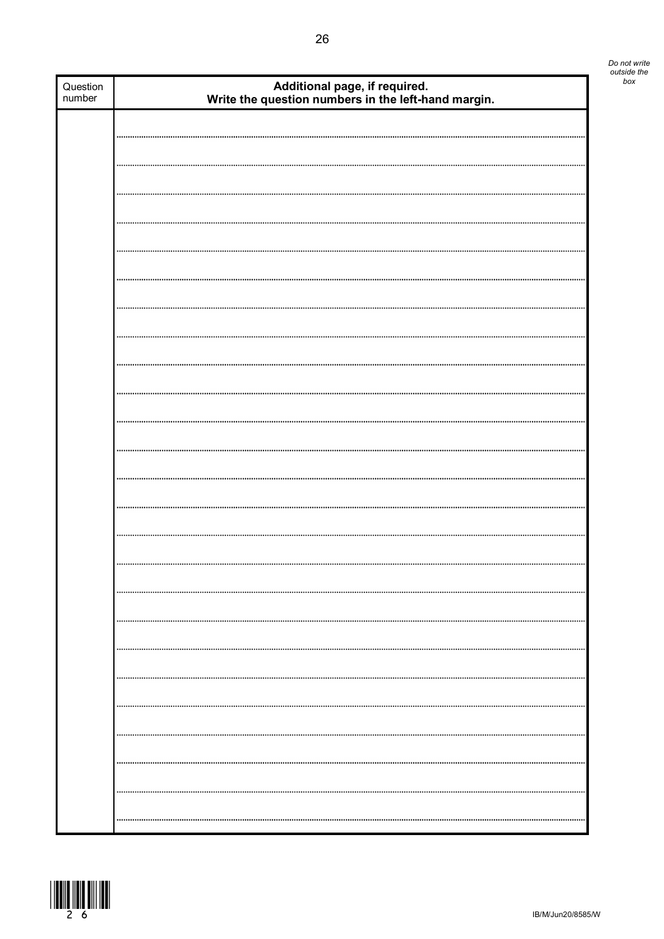| Question<br>number | Additional page, if required.<br>Write the question numbers in the left-hand margin. |  |
|--------------------|--------------------------------------------------------------------------------------|--|
|                    |                                                                                      |  |
|                    |                                                                                      |  |
|                    |                                                                                      |  |
|                    |                                                                                      |  |
|                    |                                                                                      |  |
|                    |                                                                                      |  |
|                    |                                                                                      |  |
|                    |                                                                                      |  |
|                    |                                                                                      |  |
|                    |                                                                                      |  |
|                    |                                                                                      |  |
|                    |                                                                                      |  |
|                    |                                                                                      |  |
|                    |                                                                                      |  |
|                    |                                                                                      |  |
|                    |                                                                                      |  |
|                    |                                                                                      |  |
|                    |                                                                                      |  |
|                    |                                                                                      |  |
|                    |                                                                                      |  |
|                    |                                                                                      |  |
|                    |                                                                                      |  |
|                    |                                                                                      |  |
|                    |                                                                                      |  |
|                    |                                                                                      |  |
|                    |                                                                                      |  |
|                    |                                                                                      |  |
|                    |                                                                                      |  |
|                    |                                                                                      |  |
|                    |                                                                                      |  |
|                    |                                                                                      |  |
|                    |                                                                                      |  |
|                    |                                                                                      |  |
|                    |                                                                                      |  |
|                    |                                                                                      |  |
|                    |                                                                                      |  |

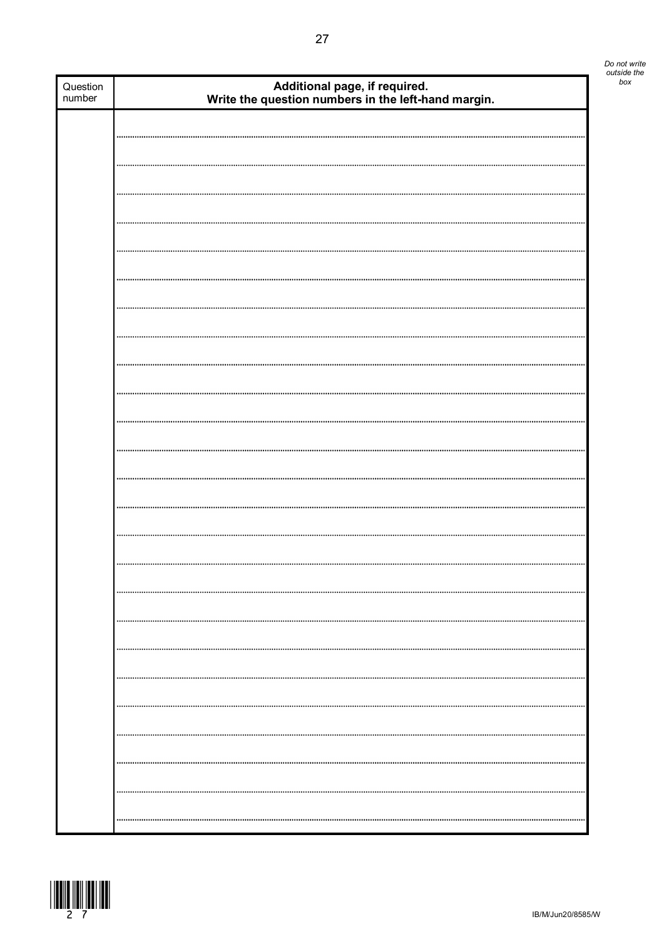| Question<br>number | Additional page, if required.<br>Write the question numbers in the left-hand margin. |  |
|--------------------|--------------------------------------------------------------------------------------|--|
|                    |                                                                                      |  |
|                    |                                                                                      |  |
|                    |                                                                                      |  |
|                    |                                                                                      |  |
|                    |                                                                                      |  |
|                    |                                                                                      |  |
|                    |                                                                                      |  |
|                    |                                                                                      |  |
|                    |                                                                                      |  |
|                    |                                                                                      |  |
|                    |                                                                                      |  |
|                    |                                                                                      |  |
|                    |                                                                                      |  |
|                    |                                                                                      |  |
|                    |                                                                                      |  |
|                    |                                                                                      |  |
|                    |                                                                                      |  |
|                    |                                                                                      |  |
|                    |                                                                                      |  |
|                    |                                                                                      |  |
|                    |                                                                                      |  |
|                    |                                                                                      |  |
|                    |                                                                                      |  |
|                    |                                                                                      |  |
|                    |                                                                                      |  |
|                    |                                                                                      |  |
|                    |                                                                                      |  |
|                    |                                                                                      |  |
|                    |                                                                                      |  |
|                    |                                                                                      |  |
|                    |                                                                                      |  |
|                    |                                                                                      |  |
|                    |                                                                                      |  |
|                    |                                                                                      |  |